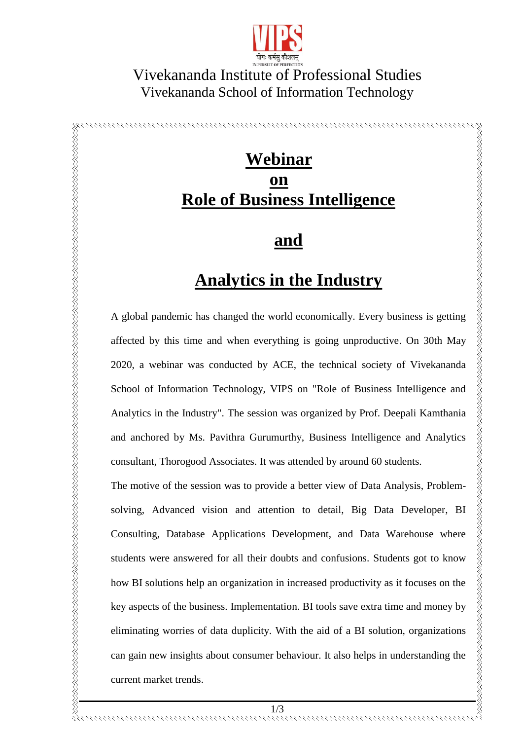

#### Vivekananda Institute of Professional Studies Vivekananda Institute of Professional Studies Vivekananda School of Information Technology Vivekananda School of Information Technology

# **Webinar on Role of Business Intelligence**

#### **and**

## **Analytics in the Industry**

affected by this time and when everything is going unproductive. On 30th May 2020, a webinar was conducted by ACE, the technical society of Vivekananda School of Information Technology, VIPS on "Role of Business Intelligence and Analytics in the Industry". The session was organized by Prof. Deepali Kamthania and anchored by Ms. Pavithra Gurumurthy, Business Intelligence and Analytics consultant, Thorogood Associates. It was attended by around 60 students.

**EXECUTE PAIR CONSULTER CONSULTER CONSULTER CONSULTER AND ADDEDITED AND ADDED TO A global pandemic has changed the world economically.** Every business is getting affected by this time and when everything is going unproduc The motive of the session was to provide a better view of Data Analysis, Problemsolving, Advanced vision and attention to detail, Big Data Developer, BI Consulting, Database Applications Development, and Data Warehouse where students were answered for all their doubts and confusions. Students got to know how BI solutions help an organization in increased productivity as it focuses on the key aspects of the business. Implementation. BI tools save extra time and money by eliminating worries of data duplicity. With the aid of a BI solution, organizations can gain new insights about consumer behaviour. It also helps in understanding the current market trends.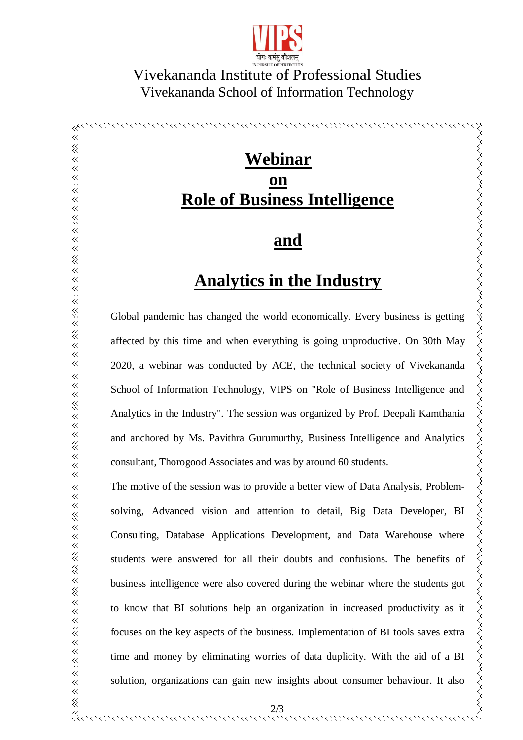

#### Vivekananda Institute of Professional Studies Vivekananda School of Information Technology

## **Webinar on Role of Business Intelligence**

### **and**

### **Analytics in the Industry**

Global pandemic has changed the world economically. Every business is getting affected by this time and when everything is going unproductive. On 30th May 2020, a webinar was conducted by ACE, the technical society of Vivekananda School of Information Technology, VIPS on "Role of Business Intelligence and Analytics in the Industry". The session was organized by Prof. Deepali Kamthania and anchored by Ms. Pavithra Gurumurthy, Business Intelligence and Analytics consultant, Thorogood Associates and was by around 60 students.

The motive of the session was to provide a better view of Data Analysis, Problemsolving, Advanced vision and attention to detail, Big Data Developer, BI Consulting, Database Applications Development, and Data Warehouse where students were answered for all their doubts and confusions. The benefits of business intelligence were also covered during the webinar where the students got to know that BI solutions help an organization in increased productivity as it focuses on the key aspects of the business. Implementation of BI tools saves extra time and money by eliminating worries of data duplicity. With the aid of a BI solution, organizations can gain new insights about consumer behaviour. It also